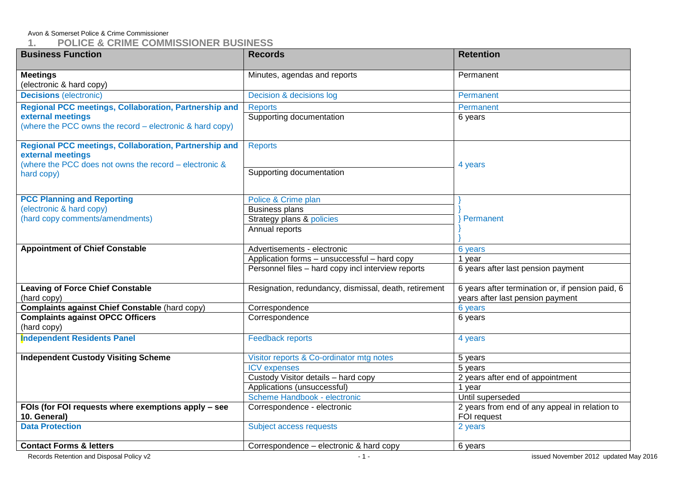# Avon & Somerset Police & Crime Commissioner<br>1. POLICE & CRIME COMM

# **1. POLICE & CRIME COMMISSIONER BUSINESS**

| <b>Business Function</b>                                                      | <b>Records</b>                                        | <b>Retention</b>                                             |  |
|-------------------------------------------------------------------------------|-------------------------------------------------------|--------------------------------------------------------------|--|
| <b>Meetings</b>                                                               | Minutes, agendas and reports                          | Permanent                                                    |  |
| (electronic & hard copy)                                                      |                                                       |                                                              |  |
| <b>Decisions</b> (electronic)                                                 | Decision & decisions log                              | Permanent                                                    |  |
| Regional PCC meetings, Collaboration, Partnership and                         | <b>Reports</b>                                        | Permanent                                                    |  |
| external meetings<br>(where the PCC owns the record – electronic & hard copy) | Supporting documentation                              | 6 years                                                      |  |
|                                                                               |                                                       |                                                              |  |
| <b>Regional PCC meetings, Collaboration, Partnership and</b>                  | <b>Reports</b>                                        |                                                              |  |
| external meetings                                                             |                                                       |                                                              |  |
| (where the PCC does not owns the record - electronic &<br>hard copy)          | Supporting documentation                              | 4 years                                                      |  |
|                                                                               |                                                       |                                                              |  |
| <b>PCC Planning and Reporting</b>                                             | Police & Crime plan                                   |                                                              |  |
| (electronic & hard copy)                                                      | <b>Business plans</b>                                 |                                                              |  |
| (hard copy comments/amendments)                                               | Strategy plans & policies                             | Permanent                                                    |  |
|                                                                               | Annual reports                                        |                                                              |  |
|                                                                               |                                                       |                                                              |  |
| <b>Appointment of Chief Constable</b>                                         | Advertisements - electronic                           | 6 years                                                      |  |
|                                                                               | Application forms - unsuccessful - hard copy          | 1 year                                                       |  |
|                                                                               | Personnel files - hard copy incl interview reports    | 6 years after last pension payment                           |  |
| <b>Leaving of Force Chief Constable</b>                                       | Resignation, redundancy, dismissal, death, retirement | 6 years after termination or, if pension paid, 6             |  |
| (hard copy)                                                                   |                                                       | years after last pension payment                             |  |
| <b>Complaints against Chief Constable (hard copy)</b>                         | Correspondence                                        | 6 years                                                      |  |
| <b>Complaints against OPCC Officers</b>                                       | Correspondence                                        | 6 years                                                      |  |
| (hard copy)                                                                   |                                                       |                                                              |  |
| <b>Independent Residents Panel</b>                                            | <b>Feedback reports</b>                               | 4 years                                                      |  |
| <b>Independent Custody Visiting Scheme</b>                                    | Visitor reports & Co-ordinator mtg notes              | 5 years                                                      |  |
|                                                                               | <b>ICV</b> expenses                                   | 5 years                                                      |  |
|                                                                               | Custody Visitor details - hard copy                   | 2 years after end of appointment                             |  |
|                                                                               | Applications (unsuccessful)                           | 1 year                                                       |  |
|                                                                               | Scheme Handbook - electronic                          | Until superseded                                             |  |
| FOIs (for FOI requests where exemptions apply - see<br>10. General)           | Correspondence - electronic                           | 2 years from end of any appeal in relation to<br>FOI request |  |
| <b>Data Protection</b>                                                        | Subject access requests<br>2 years                    |                                                              |  |
| <b>Contact Forms &amp; letters</b>                                            | Correspondence - electronic & hard copy               | 6 years                                                      |  |
|                                                                               |                                                       |                                                              |  |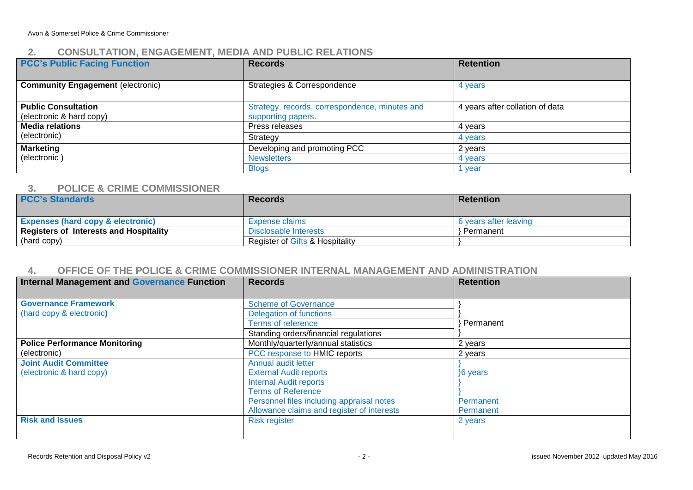# **2. CONSULTATION, ENGAGEMENT, MEDIA AND PUBLIC RELATIONS**

| <b>PCC's Public Facing Function</b>      | <b>Records</b>                                 | <b>Retention</b>                |
|------------------------------------------|------------------------------------------------|---------------------------------|
|                                          |                                                |                                 |
| <b>Community Engagement (electronic)</b> | Strategies & Correspondence                    | 4 years                         |
|                                          |                                                |                                 |
| <b>Public Consultation</b>               | Strategy, records, correspondence, minutes and | 4 years after collation of data |
| (electronic & hard copy)                 | supporting papers.                             |                                 |
| <b>Media relations</b>                   | Press releases                                 | 4 years                         |
| (electronic)                             | Strategy                                       | 4 years                         |
| <b>Marketing</b>                         | Developing and promoting PCC                   | 2 years                         |
| (electronic)                             | <b>Newsletters</b>                             |                                 |
|                                          | <b>Blogs</b>                                   | year                            |

#### **3. POLICE & CRIME COMMISSIONER**

| <b>PCC's Standards</b>                        | <b>Records</b>                  | <b>Retention</b>      |
|-----------------------------------------------|---------------------------------|-----------------------|
| <b>Expenses (hard copy &amp; electronic)</b>  | Expense claims                  | 6 years after leaving |
| <b>Registers of Interests and Hospitality</b> | Disclosable Interests           | ⋅ Permanent i         |
| (hard copy)                                   | Register of Gifts & Hospitality |                       |

#### **4. OFFICE OF THE POLICE & CRIME COMMISSIONER INTERNAL MANAGEMENT AND ADMINISTRATION**

| <b>Internal Management and Governance Function</b> | <b>Records</b>                             | <b>Retention</b> |
|----------------------------------------------------|--------------------------------------------|------------------|
|                                                    |                                            |                  |
| <b>Governance Framework</b>                        | <b>Scheme of Governance</b>                |                  |
| (hard copy & electronic)                           | Delegation of functions                    |                  |
|                                                    | Terms of reference                         | Permanent        |
|                                                    | Standing orders/financial regulations      |                  |
| <b>Police Performance Monitoring</b>               | Monthly/quarterly/annual statistics        | 2 years          |
| (electronic)                                       | PCC response to HMIC reports<br>2 years    |                  |
| <b>Joint Audit Committee</b>                       | <b>Annual audit letter</b>                 |                  |
| (electronic & hard copy)                           | <b>External Audit reports</b>              | 16 years         |
|                                                    | <b>Internal Audit reports</b>              |                  |
|                                                    | <b>Terms of Reference</b>                  |                  |
|                                                    | Personnel files including appraisal notes  | Permanent        |
|                                                    | Allowance claims and register of interests | Permanent        |
| <b>Risk and Issues</b><br><b>Risk register</b>     |                                            | 2 years          |
|                                                    |                                            |                  |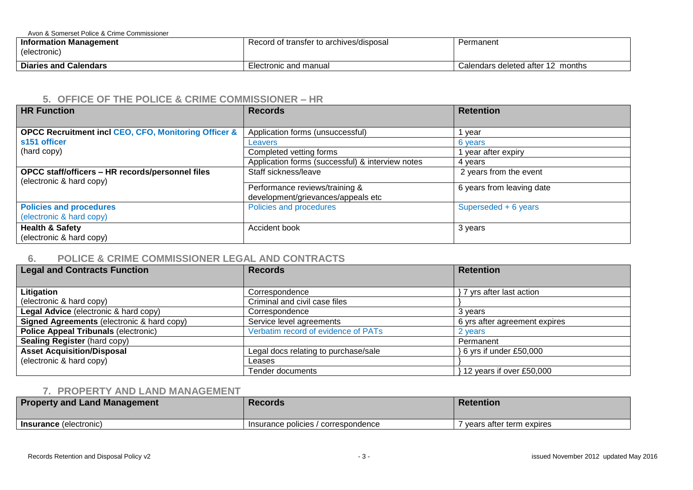Avon & Somerset Police & Crime Commissioner

| Information Management<br>(electronic) | Record of transfer to archives/disposal | Permanent                            |
|----------------------------------------|-----------------------------------------|--------------------------------------|
| <b>Diaries and Calendars</b>           | Electronic and manual                   | Calendars deleted after 12<br>months |

#### **5. OFFICE OF THE POLICE & CRIME COMMISSIONER – HR**

| <b>HR Function</b>                                                           | <b>Records</b>                                                       | <b>Retention</b>          |
|------------------------------------------------------------------------------|----------------------------------------------------------------------|---------------------------|
|                                                                              |                                                                      |                           |
| <b>OPCC Recruitment incl CEO, CFO, Monitoring Officer &amp;</b>              | Application forms (unsuccessful)                                     | year                      |
| s151 officer                                                                 | Leavers                                                              | 6 years                   |
| (hard copy)                                                                  | Completed vetting forms                                              | year after expiry         |
|                                                                              | Application forms (successful) & interview notes                     | 4 vears                   |
| OPCC staff/officers - HR records/personnel files<br>(electronic & hard copy) | Staff sickness/leave                                                 | 2 years from the event    |
|                                                                              | Performance reviews/training &<br>development/grievances/appeals etc | 6 years from leaving date |
| <b>Policies and procedures</b><br>(electronic & hard copy)                   | Policies and procedures                                              | Superseded + 6 years      |
| <b>Health &amp; Safety</b><br>(electronic & hard copy)                       | Accident book                                                        | 3 years                   |

## **6. POLICE & CRIME COMMISSIONER LEGAL AND CONTRACTS**

| <b>Legal and Contracts Function</b>         | <b>Records</b>                       |                               |
|---------------------------------------------|--------------------------------------|-------------------------------|
|                                             |                                      |                               |
| Litigation                                  | Correspondence                       | yrs after last action         |
| (electronic & hard copy)                    | Criminal and civil case files        |                               |
| Legal Advice (electronic & hard copy)       | Correspondence                       | 3 years                       |
| Signed Agreements (electronic & hard copy)  | Service level agreements             | 6 yrs after agreement expires |
| <b>Police Appeal Tribunals (electronic)</b> | Verbatim record of evidence of PATs  | 2 years                       |
| Sealing Register (hard copy)                |                                      | Permanent                     |
| <b>Asset Acquisition/Disposal</b>           | Legal docs relating to purchase/sale | 6 yrs if under £50,000        |
| (electronic & hard copy)                    | Leases                               |                               |
|                                             | Tender documents                     | 12 years if over £50,000      |

### **7. PROPERTY AND LAND MANAGEMENT**

| <b>Property and Land Management</b> | <b>Records</b>                      | <b>Retention</b>           |
|-------------------------------------|-------------------------------------|----------------------------|
| <b>Insurance</b> (electronic)       | Insurance policies / correspondence | ' vears after term expires |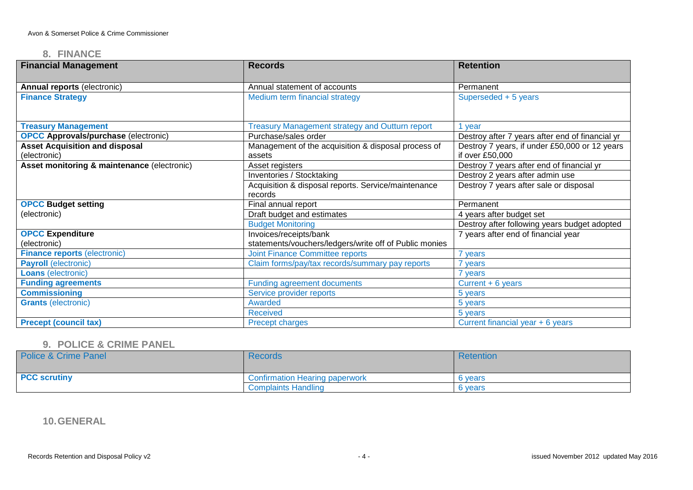#### **8. FINANCE**

| <b>Financial Management</b>                 | <b>Records</b>                                         | <b>Retention</b>                                |  |
|---------------------------------------------|--------------------------------------------------------|-------------------------------------------------|--|
| Annual reports (electronic)                 | Annual statement of accounts                           | Permanent                                       |  |
| <b>Finance Strategy</b>                     | Medium term financial strategy                         | Superseded + 5 years                            |  |
|                                             |                                                        |                                                 |  |
| <b>Treasury Management</b>                  | <b>Treasury Management strategy and Outturn report</b> | vear                                            |  |
| <b>OPCC Approvals/purchase (electronic)</b> | Purchase/sales order                                   | Destroy after 7 years after end of financial yr |  |
| <b>Asset Acquisition and disposal</b>       | Management of the acquisition & disposal process of    | Destroy 7 years, if under £50,000 or 12 years   |  |
| (electronic)                                | assets                                                 | if over £50,000                                 |  |
| Asset monitoring & maintenance (electronic) | Asset registers                                        | Destroy 7 years after end of financial yr       |  |
|                                             | Inventories / Stocktaking                              | Destroy 2 years after admin use                 |  |
|                                             | Acquisition & disposal reports. Service/maintenance    | Destroy 7 years after sale or disposal          |  |
|                                             | records                                                |                                                 |  |
| <b>OPCC Budget setting</b>                  | Final annual report                                    | Permanent                                       |  |
| (electronic)                                | Draft budget and estimates                             | 4 years after budget set                        |  |
|                                             | <b>Budget Monitoring</b>                               | Destroy after following years budget adopted    |  |
| <b>OPCC Expenditure</b>                     | Invoices/receipts/bank                                 | 7 years after end of financial year             |  |
| (electronic)                                | statements/vouchers/ledgers/write off of Public monies |                                                 |  |
| <b>Finance reports (electronic)</b>         | <b>Joint Finance Committee reports</b>                 | 'years                                          |  |
| <b>Payroll</b> (electronic)                 | Claim forms/pay/tax records/summary pay reports        | 7 years                                         |  |
| <b>Loans</b> (electronic)                   |                                                        | 7 years                                         |  |
| <b>Funding agreements</b>                   | <b>Funding agreement documents</b>                     | Current $+ 6$ years                             |  |
| <b>Commissioning</b>                        | Service provider reports                               | 5 years                                         |  |
| <b>Grants (electronic)</b>                  | Awarded                                                | 5 years                                         |  |
|                                             | <b>Received</b>                                        | 5 years                                         |  |
| <b>Precept (council tax)</b>                | Precept charges                                        | Current financial year + 6 years                |  |

## **9. POLICE & CRIME PANEL**

| <b>Police &amp; Crime Panel</b> | <b>Records</b>                        | Retention |
|---------------------------------|---------------------------------------|-----------|
| <b>PCC scrutiny</b>             | <b>Confirmation Hearing paperwork</b> | 6 years   |
|                                 | <b>Complaints Handling</b>            | 6 years   |

**10.GENERAL**